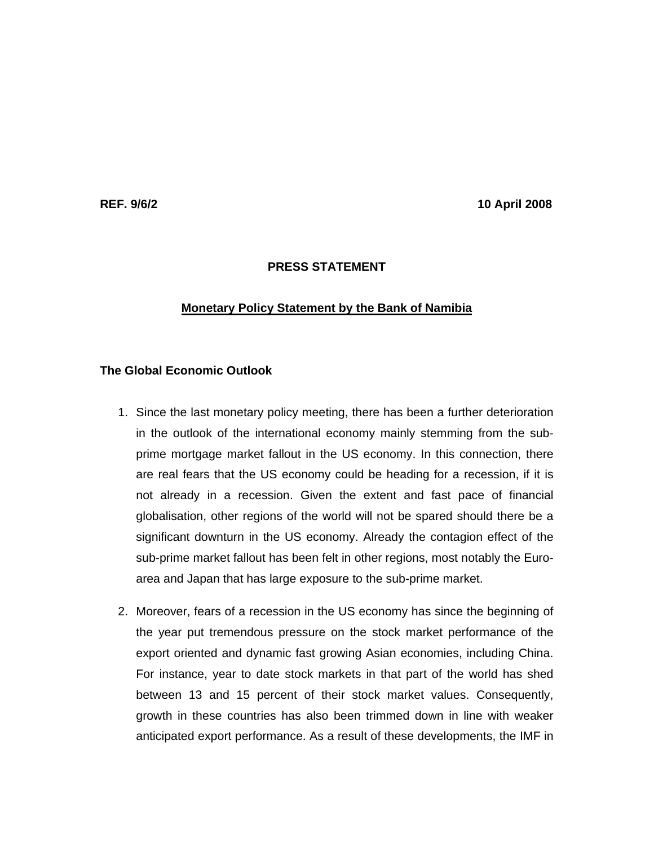**REF. 9/6/2 10 April 2008** 

## **PRESS STATEMENT**

#### **Monetary Policy Statement by the Bank of Namibia**

# **The Global Economic Outlook**

- 1. Since the last monetary policy meeting, there has been a further deterioration in the outlook of the international economy mainly stemming from the subprime mortgage market fallout in the US economy. In this connection, there are real fears that the US economy could be heading for a recession, if it is not already in a recession. Given the extent and fast pace of financial globalisation, other regions of the world will not be spared should there be a significant downturn in the US economy. Already the contagion effect of the sub-prime market fallout has been felt in other regions, most notably the Euroarea and Japan that has large exposure to the sub-prime market.
- 2. Moreover, fears of a recession in the US economy has since the beginning of the year put tremendous pressure on the stock market performance of the export oriented and dynamic fast growing Asian economies, including China. For instance, year to date stock markets in that part of the world has shed between 13 and 15 percent of their stock market values. Consequently, growth in these countries has also been trimmed down in line with weaker anticipated export performance. As a result of these developments, the IMF in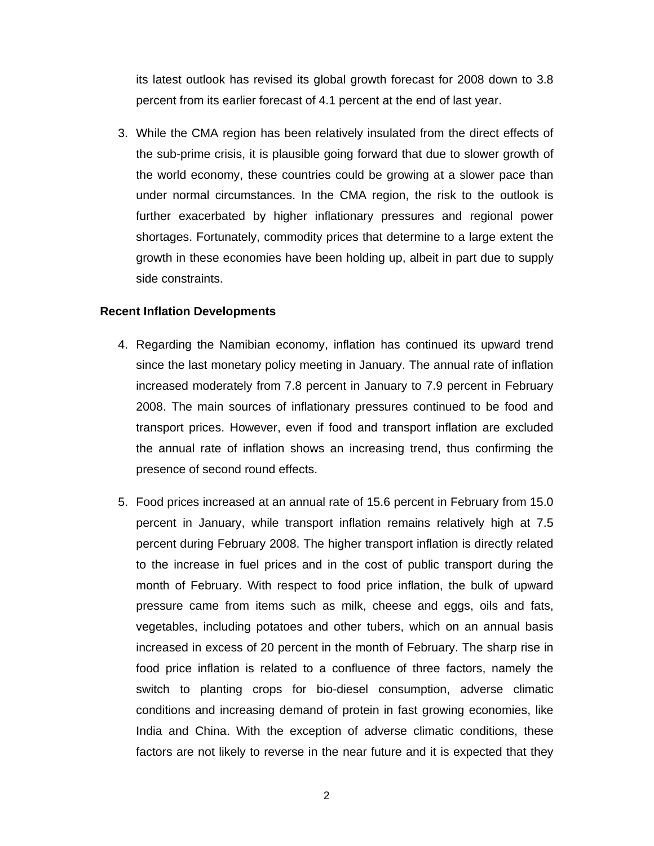its latest outlook has revised its global growth forecast for 2008 down to 3.8 percent from its earlier forecast of 4.1 percent at the end of last year.

3. While the CMA region has been relatively insulated from the direct effects of the sub-prime crisis, it is plausible going forward that due to slower growth of the world economy, these countries could be growing at a slower pace than under normal circumstances. In the CMA region, the risk to the outlook is further exacerbated by higher inflationary pressures and regional power shortages. Fortunately, commodity prices that determine to a large extent the growth in these economies have been holding up, albeit in part due to supply side constraints.

#### **Recent Inflation Developments**

- 4. Regarding the Namibian economy, inflation has continued its upward trend since the last monetary policy meeting in January. The annual rate of inflation increased moderately from 7.8 percent in January to 7.9 percent in February 2008. The main sources of inflationary pressures continued to be food and transport prices. However, even if food and transport inflation are excluded the annual rate of inflation shows an increasing trend, thus confirming the presence of second round effects.
- 5. Food prices increased at an annual rate of 15.6 percent in February from 15.0 percent in January, while transport inflation remains relatively high at 7.5 percent during February 2008. The higher transport inflation is directly related to the increase in fuel prices and in the cost of public transport during the month of February. With respect to food price inflation, the bulk of upward pressure came from items such as milk, cheese and eggs, oils and fats, vegetables, including potatoes and other tubers, which on an annual basis increased in excess of 20 percent in the month of February. The sharp rise in food price inflation is related to a confluence of three factors, namely the switch to planting crops for bio-diesel consumption, adverse climatic conditions and increasing demand of protein in fast growing economies, like India and China. With the exception of adverse climatic conditions, these factors are not likely to reverse in the near future and it is expected that they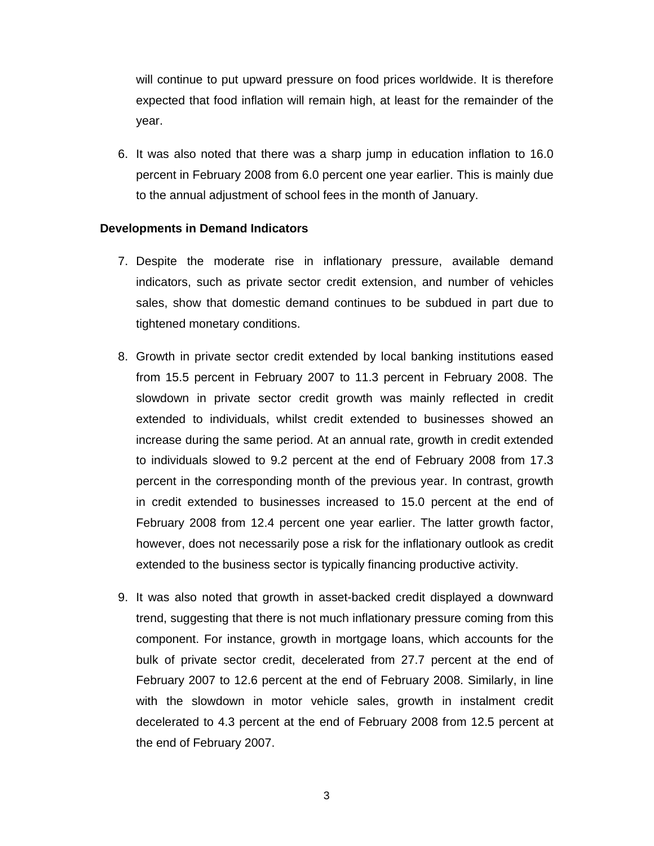will continue to put upward pressure on food prices worldwide. It is therefore expected that food inflation will remain high, at least for the remainder of the year.

6. It was also noted that there was a sharp jump in education inflation to 16.0 percent in February 2008 from 6.0 percent one year earlier. This is mainly due to the annual adjustment of school fees in the month of January.

#### **Developments in Demand Indicators**

- 7. Despite the moderate rise in inflationary pressure, available demand indicators, such as private sector credit extension, and number of vehicles sales, show that domestic demand continues to be subdued in part due to tightened monetary conditions.
- 8. Growth in private sector credit extended by local banking institutions eased from 15.5 percent in February 2007 to 11.3 percent in February 2008. The slowdown in private sector credit growth was mainly reflected in credit extended to individuals, whilst credit extended to businesses showed an increase during the same period. At an annual rate, growth in credit extended to individuals slowed to 9.2 percent at the end of February 2008 from 17.3 percent in the corresponding month of the previous year. In contrast, growth in credit extended to businesses increased to 15.0 percent at the end of February 2008 from 12.4 percent one year earlier. The latter growth factor, however, does not necessarily pose a risk for the inflationary outlook as credit extended to the business sector is typically financing productive activity.
- 9. It was also noted that growth in asset-backed credit displayed a downward trend, suggesting that there is not much inflationary pressure coming from this component. For instance, growth in mortgage loans, which accounts for the bulk of private sector credit, decelerated from 27.7 percent at the end of February 2007 to 12.6 percent at the end of February 2008. Similarly, in line with the slowdown in motor vehicle sales, growth in instalment credit decelerated to 4.3 percent at the end of February 2008 from 12.5 percent at the end of February 2007.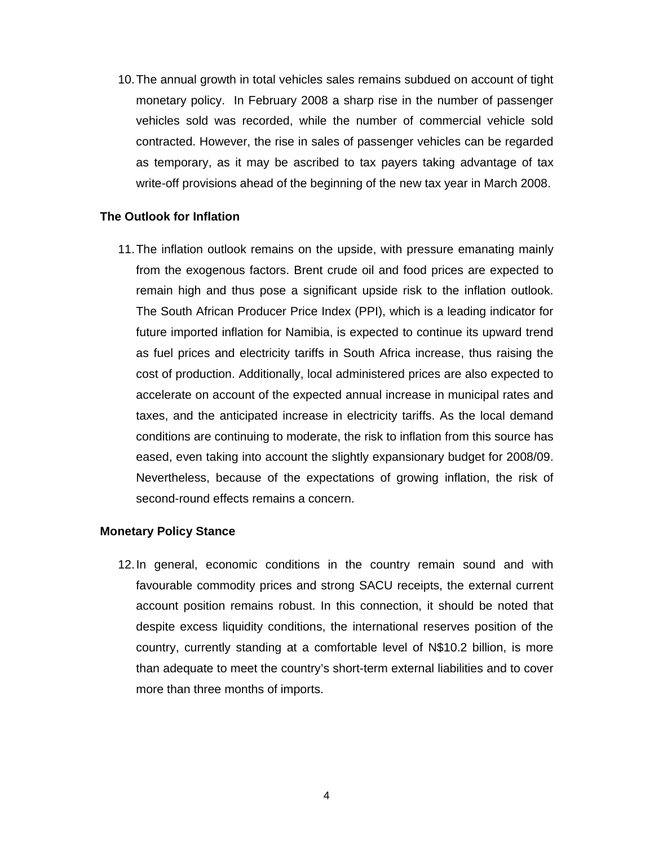10. The annual growth in total vehicles sales remains subdued on account of tight monetary policy. In February 2008 a sharp rise in the number of passenger vehicles sold was recorded, while the number of commercial vehicle sold contracted. However, the rise in sales of passenger vehicles can be regarded as temporary, as it may be ascribed to tax payers taking advantage of tax write-off provisions ahead of the beginning of the new tax year in March 2008.

### **The Outlook for Inflation**

11. The inflation outlook remains on the upside, with pressure emanating mainly from the exogenous factors. Brent crude oil and food prices are expected to remain high and thus pose a significant upside risk to the inflation outlook. The South African Producer Price Index (PPI), which is a leading indicator for future imported inflation for Namibia, is expected to continue its upward trend as fuel prices and electricity tariffs in South Africa increase, thus raising the cost of production. Additionally, local administered prices are also expected to accelerate on account of the expected annual increase in municipal rates and taxes, and the anticipated increase in electricity tariffs. As the local demand conditions are continuing to moderate, the risk to inflation from this source has eased, even taking into account the slightly expansionary budget for 2008/09. Nevertheless, because of the expectations of growing inflation, the risk of second-round effects remains a concern.

#### **Monetary Policy Stance**

12. In general, economic conditions in the country remain sound and with favourable commodity prices and strong SACU receipts, the external current account position remains robust. In this connection, it should be noted that despite excess liquidity conditions, the international reserves position of the country, currently standing at a comfortable level of N\$10.2 billion, is more than adequate to meet the country's short-term external liabilities and to cover more than three months of imports.